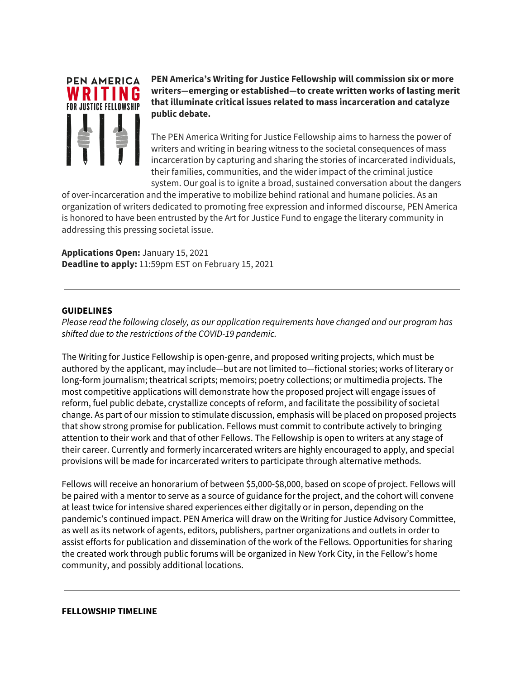

**PEN America's Writing for Justice Fellowship will commission six or more writers—emerging or established—to create written works of lasting merit that illuminate critical issues related to mass incarceration and catalyze public debate.**

The PEN America Writing for Justice Fellowship aims to harness the power of writers and writing in bearing witness to the societal consequences of mass incarceration by capturing and sharing the stories of incarcerated individuals, their families, communities, and the wider impact of the criminal justice system. Our goal is to ignite a broad, sustained conversation about the dangers

of over-incarceration and the imperative to mobilize behind rational and humane policies. As an organization of writers dedicated to promoting free expression and informed discourse, PEN America is honored to have been entrusted by the Art for Justice Fund to engage the literary community in addressing this pressing societal issue.

**Applications Open:** January 15, 2021 **Deadline to apply:** 11:59pm EST on February 15, 2021

#### **GUIDELINES**

*Please read the following closely, as our application requirements have changed and our program has shifted due to the restrictions of the COVID-19 pandemic.*

The Writing for Justice Fellowship is open-genre, and proposed writing projects, which must be authored by the applicant, may include—but are not limited to—fictional stories; works of literary or long-form journalism; theatrical scripts; memoirs; poetry collections; or multimedia projects. The most competitive applications will demonstrate how the proposed project will engage issues of reform, fuel public debate, crystallize concepts of reform, and facilitate the possibility of societal change. As part of our mission to stimulate discussion, emphasis will be placed on proposed projects that show strong promise for publication. Fellows must commit to contribute actively to bringing attention to their work and that of other Fellows. The Fellowship is open to writers at any stage of their career. Currently and formerly incarcerated writers are highly encouraged to apply, and special provisions will be made for incarcerated writers to participate through alternative methods.

Fellows will receive an honorarium of between \$5,000-\$8,000, based on scope of project. Fellows will be paired with a mentor to serve as a source of guidance for the project, and the cohort will convene at least twice for intensive shared experiences either digitally or in person, depending on the pandemic's continued impact. PEN America will draw on the Writing for Justice Advisory Committee, as well as its network of agents, editors, publishers, partner organizations and outlets in order to assist efforts for publication and dissemination of the work of the Fellows. Opportunities for sharing the created work through public forums will be organized in New York City, in the Fellow's home community, and possibly additional locations.

#### **FELLOWSHIP TIMELINE**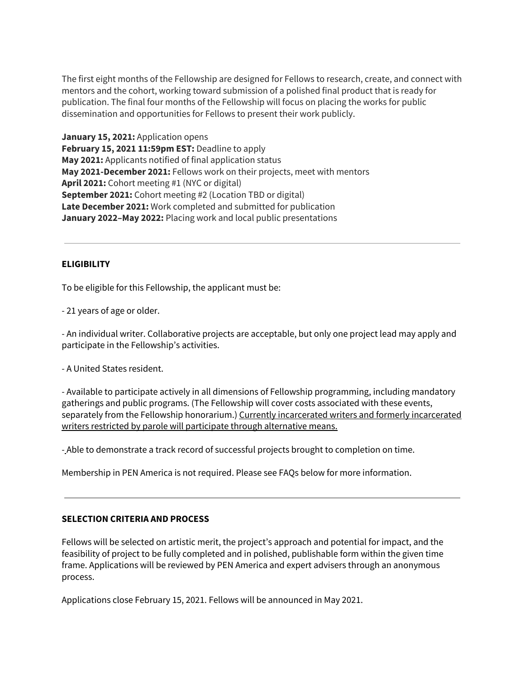The first eight months of the Fellowship are designed for Fellows to research, create, and connect with mentors and the cohort, working toward submission of a polished final product that is ready for publication. The final four months of the Fellowship will focus on placing the works for public dissemination and opportunities for Fellows to present their work publicly.

**January 15, 2021:** Application opens **February 15, 2021 11:59pm EST:** Deadline to apply **May 2021:** Applicants notified of final application status **May 2021-December 2021:** Fellows work on their projects, meet with mentors **April 2021:** Cohort meeting #1 (NYC or digital) **September 2021:** Cohort meeting #2 (Location TBD or digital) **Late December 2021:** Work completed and submitted for publication **January 2022–May 2022:** Placing work and local public presentations

## **ELIGIBILITY**

To be eligible for this Fellowship, the applicant must be:

- 21 years of age or older.

- An individual writer. Collaborative projects are acceptable, but only one project lead may apply and participate in the Fellowship's activities.

- A United States resident.

- Available to participate actively in all dimensions of Fellowship programming, including mandatory gatherings and public programs. (The Fellowship will cover costs associated with these events, separately from the Fellowship honorarium.) Currently incarcerated writers and formerly incarcerated writers restricted by parole will participate through alternative means.

- Able to demonstrate a track record of successful projects brought to completion on time.

Membership in PEN America is not required. Please see FAQs below for more information.

#### **SELECTION CRITERIA AND PROCESS**

Fellows will be selected on artistic merit, the project's approach and potential for impact, and the feasibility of project to be fully completed and in polished, publishable form within the given time frame. Applications will be reviewed by PEN America and expert advisers through an anonymous process.

Applications close February 15, 2021. Fellows will be announced in May 2021.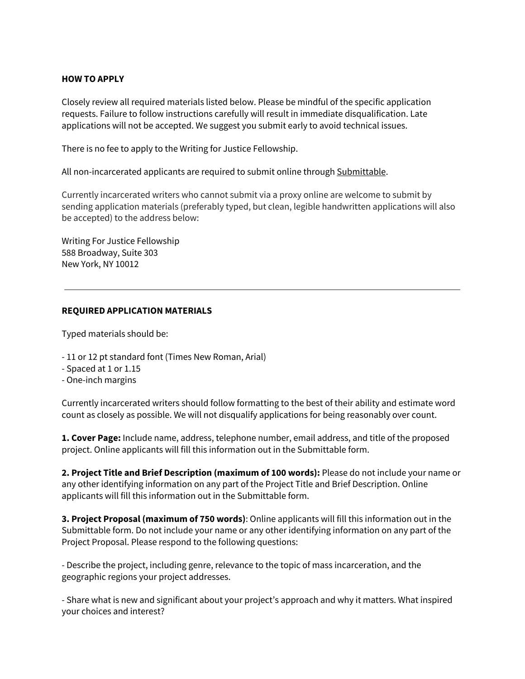#### **HOW TO APPLY**

Closely review all required materials listed below. Please be mindful of the specific application requests. Failure to follow instructions carefully will result in immediate disqualification. Late applications will not be accepted. We suggest you submit early to avoid technical issues.

There is no fee to apply to the Writing for Justice Fellowship.

All non-incarcerated applicants are required to submit online through [Submittable](https://pen.submittable.com/submit).

Currently incarcerated writers who cannot submit via a proxy online are welcome to submit by sending application materials (preferably typed, but clean, legible handwritten applications will also be accepted) to the address below:

Writing For Justice Fellowship 588 Broadway, Suite 303 New York, NY 10012

### **REQUIRED APPLICATION MATERIALS**

Typed materials should be:

- 11 or 12 pt standard font (Times New Roman, Arial)
- Spaced at 1 or 1.15
- One-inch margins

Currently incarcerated writers should follow formatting to the best of their ability and estimate word count as closely as possible. We will not disqualify applications for being reasonably over count.

**1. Cover Page:** Include name, address, telephone number, email address, and title of the proposed project. Online applicants will fill this information out in the Submittable form.

**2. Project Title and Brief Description (maximum of 100 words):** Please do not include your name or any other identifying information on any part of the Project Title and Brief Description. Online applicants will fill this information out in the Submittable form.

**3. Project Proposal (maximum of 750 words)**: Online applicants will fill this information out in the Submittable form. Do not include your name or any other identifying information on any part of the Project Proposal. Please respond to the following questions:

- Describe the project, including genre, relevance to the topic of mass incarceration, and the geographic regions your project addresses.

- Share what is new and significant about your project's approach and why it matters. What inspired your choices and interest?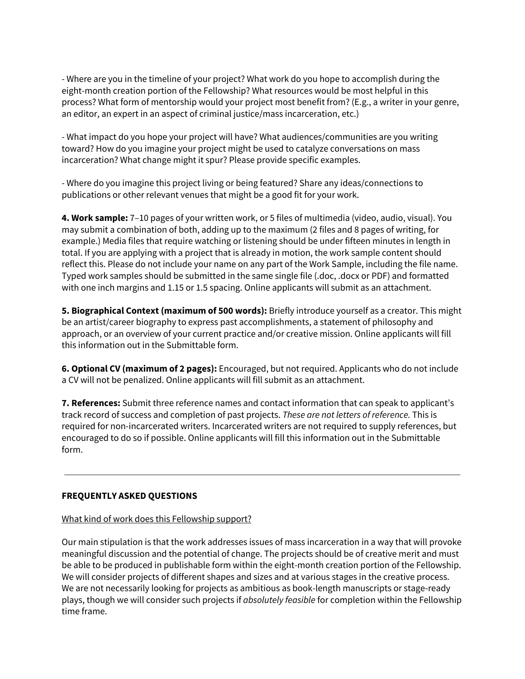- Where are you in the timeline of your project? What work do you hope to accomplish during the eight-month creation portion of the Fellowship? What resources would be most helpful in this process? What form of mentorship would your project most benefit from? (E.g., a writer in your genre, an editor, an expert in an aspect of criminal justice/mass incarceration, etc.)

- What impact do you hope your project will have? What audiences/communities are you writing toward? How do you imagine your project might be used to catalyze conversations on mass incarceration? What change might it spur? Please provide specific examples.

- Where do you imagine this project living or being featured? Share any ideas/connections to publications or other relevant venues that might be a good fit for your work.

**4. Work sample:** 7–10 pages of your written work, or 5 files of multimedia (video, audio, visual). You may submit a combination of both, adding up to the maximum (2 files and 8 pages of writing, for example.) Media files that require watching or listening should be under fifteen minutes in length in total. If you are applying with a project that is already in motion, the work sample content should reflect this. Please do not include your name on any part of the Work Sample, including the file name. Typed work samples should be submitted in the same single file (.doc, .docx or PDF) and formatted with one inch margins and 1.15 or 1.5 spacing. Online applicants will submit as an attachment.

**5. Biographical Context (maximum of 500 words):** Briefly introduce yourself as a creator. This might be an artist/career biography to express past accomplishments, a statement of philosophy and approach, or an overview of your current practice and/or creative mission. Online applicants will fill this information out in the Submittable form.

**6. Optional CV (maximum of 2 pages):** Encouraged, but not required. Applicants who do not include a CV will not be penalized. Online applicants will fill submit as an attachment.

**7. References:** Submit three reference names and contact information that can speak to applicant's track record of success and completion of past projects. *These are not letters of reference.* This is required for non-incarcerated writers. Incarcerated writers are not required to supply references, but encouraged to do so if possible. Online applicants will fill this information out in the Submittable form.

# **FREQUENTLY ASKED QUESTIONS**

## What kind of work does this [Fellowship](https://pen.org/writing-justice-application/#) support?

Our main stipulation is that the work addresses issues of mass incarceration in a way that will provoke meaningful discussion and the potential of change. The projects should be of creative merit and must be able to be produced in publishable form within the eight-month creation portion of the Fellowship. We will consider projects of different shapes and sizes and at various stages in the creative process. We are not necessarily looking for projects as ambitious as book-length manuscripts or stage-ready plays, though we will consider such projects if *absolutely feasible* for completion within the Fellowship time frame.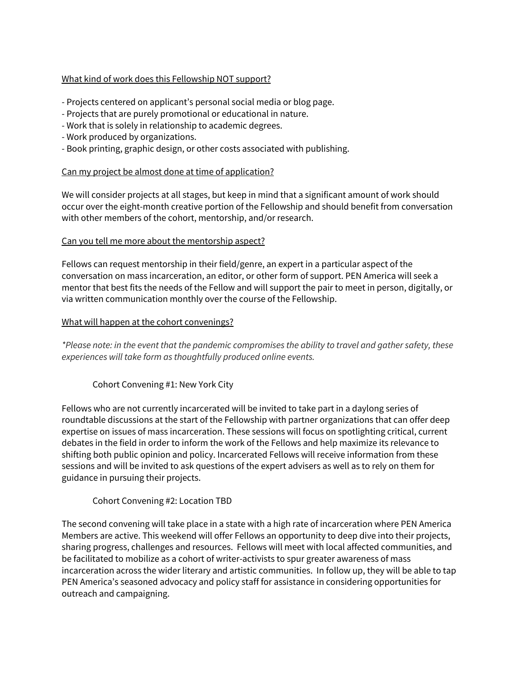## What kind of work does this [Fellowship](https://pen.org/writing-justice-application/#) NOT support?

- Projects centered on applicant's personal social media or blog page.
- Projects that are purely promotional or educational in nature.
- Work that is solely in relationship to academic degrees.
- Work produced by organizations.
- Book printing, graphic design, or other costs associated with publishing.

### Can my project be almost done at time of [application?](https://pen.org/writing-justice-application/#)

We will consider projects at all stages, but keep in mind that a significant amount of work should occur over the eight-month creative portion of the Fellowship and should benefit from conversation with other members of the cohort, mentorship, and/or research.

### Can you tell me more about the [mentorship](https://pen.org/writing-justice-application/#) aspect?

Fellows can request mentorship in their field/genre, an expert in a particular aspect of the conversation on mass incarceration, an editor, or other form of support. PEN America will seek a mentor that best fits the needs of the Fellow and will support the pair to meet in person, digitally, or via written communication monthly over the course of the Fellowship.

### What will happen at the cohort [convenings?](https://pen.org/writing-justice-application/#)

*\*Please note: in the event that the pandemic compromises the ability to travel and gather safety, these experiences will take form as thoughtfully produced online events.*

## Cohort Convening #1: New York City

Fellows who are not currently incarcerated will be invited to take part in a daylong series of roundtable discussions at the start of the Fellowship with partner organizations that can offer deep expertise on issues of mass incarceration. These sessions will focus on spotlighting critical, current debates in the field in order to inform the work of the Fellows and help maximize its relevance to shifting both public opinion and policy. Incarcerated Fellows will receive information from these sessions and will be invited to ask questions of the expert advisers as well as to rely on them for guidance in pursuing their projects.

## Cohort Convening #2: Location TBD

The second convening will take place in a state with a high rate of incarceration where PEN America Members are active. This weekend will offer Fellows an opportunity to deep dive into their projects, sharing progress, challenges and resources. Fellows will meet with local affected communities, and be facilitated to mobilize as a cohort of writer-activists to spur greater awareness of mass incarceration across the wider literary and artistic communities. In follow up, they will be able to tap PEN America's seasoned advocacy and policy staff for assistance in considering opportunities for outreach and campaigning.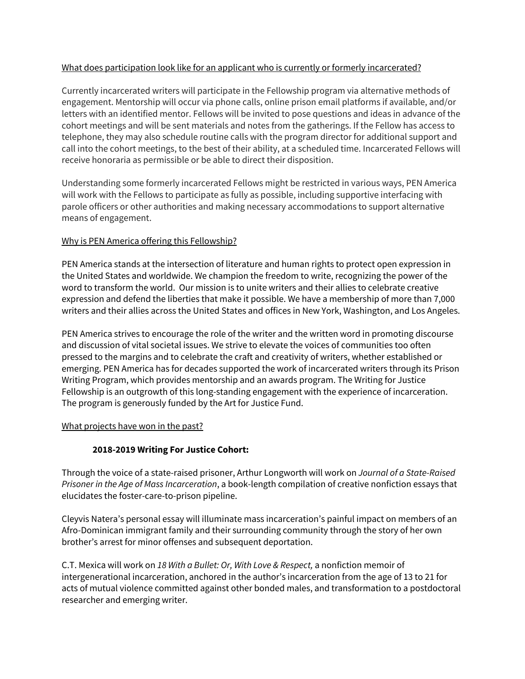## What does participation look like for an applicant who is currently or formerly [incarcerated?](https://pen.org/writing-justice-application/#)

Currently incarcerated writers will participate in the Fellowship program via alternative methods of engagement. Mentorship will occur via phone calls, online prison email platforms if available, and/or letters with an identified mentor. Fellows will be invited to pose questions and ideas in advance of the cohort meetings and will be sent materials and notes from the gatherings. If the Fellow has access to telephone, they may also schedule routine calls with the program director for additional support and call into the cohort meetings, to the best of their ability, at a scheduled time. Incarcerated Fellows will receive honoraria as permissible or be able to direct their disposition.

Understanding some formerly incarcerated Fellows might be restricted in various ways, PEN America will work with the Fellows to participate as fully as possible, including supportive interfacing with parole officers or other authorities and making necessary accommodations to support alternative means of engagement.

## Why is PEN America offering this [Fellowship?](https://pen.org/writing-justice-application/#)

PEN America stands at the intersection of literature and human rights to protect open expression in the United States and worldwide. We champion the freedom to write, recognizing the power of the word to transform the world. Our mission is to unite writers and their allies to celebrate creative expression and defend the liberties that make it possible. We have a membership of more than 7,000 writers and their allies across the United States and offices in New York, Washington, and Los Angeles.

PEN America strives to encourage the role of the writer and the written word in promoting discourse and discussion of vital societal issues. We strive to elevate the voices of communities too often pressed to the margins and to celebrate the craft and creativity of writers, whether established or emerging. PEN America has for decades supported the work of incarcerated writers through its Prison Writing Program, which provides mentorship and an awards program. The Writing for Justice Fellowship is an outgrowth of this long-standing engagement with the experience of incarceration. The program is generously funded by the Art for Justice Fund.

## [Wh](https://pen.org/writing-justice-application/#)at projects have won in the past?

# **2018-2019 Writing For Justice Cohort:**

Through the voice of a state-raised prisoner, Arthur Longworth will work on *Journal of a State-Raised Prisoner in the Age of Mass Incarceration*, a book-length compilation of creative nonfiction essays that elucidates the foster-care-to-prison pipeline.

Cleyvis Natera's personal essay will illuminate mass incarceration's painful impact on members of an Afro-Dominican immigrant family and their surrounding community through the story of her own brother's arrest for minor offenses and subsequent deportation.

C.T. Mexica will work on *18 With a Bullet: Or, With Love & Respect,* a nonfiction memoir of intergenerational incarceration, anchored in the author's incarceration from the age of 13 to 21 for acts of mutual violence committed against other bonded males, and transformation to a postdoctoral researcher and emerging writer.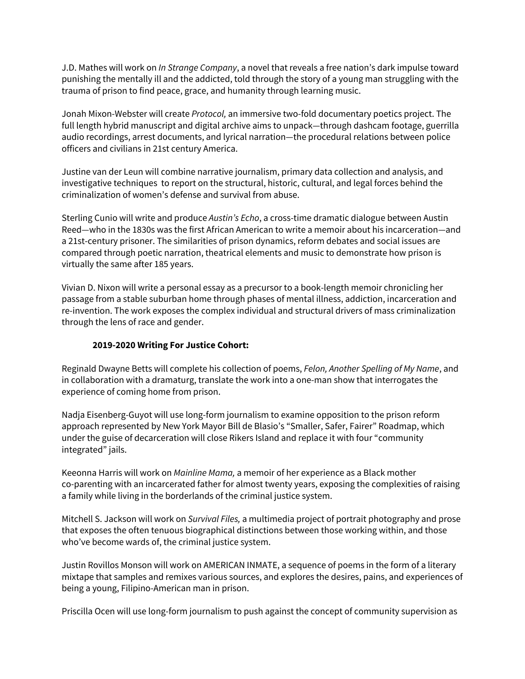J.D. Mathes will work on *In Strange Company*, a novel that reveals a free nation's dark impulse toward punishing the mentally ill and the addicted, told through the story of a young man struggling with the trauma of prison to find peace, grace, and humanity through learning music.

Jonah Mixon-Webster will create *Protocol,* an immersive two-fold documentary poetics project. The full length hybrid manuscript and digital archive aims to unpack—through dashcam footage, guerrilla audio recordings, arrest documents, and lyrical narration—the procedural relations between police officers and civilians in 21st century America.

Justine van der Leun will combine narrative journalism, primary data collection and analysis, and investigative techniques to report on the structural, historic, cultural, and legal forces behind the criminalization of women's defense and survival from abuse.

Sterling Cunio will write and produce *Austin's Echo*, a cross-time dramatic dialogue between Austin Reed—who in the 1830s was the first African American to write a memoir about his incarceration—and a 21st-century prisoner. The similarities of prison dynamics, reform debates and social issues are compared through poetic narration, theatrical elements and music to demonstrate how prison is virtually the same after 185 years.

Vivian D. Nixon will write a personal essay as a precursor to a book-length memoir chronicling her passage from a stable suburban home through phases of mental illness, addiction, incarceration and re-invention. The work exposes the complex individual and structural drivers of mass criminalization through the lens of race and gender.

## **2019-2020 Writing For Justice Cohort:**

Reginald Dwayne Betts will complete his collection of poems, *Felon, Another Spelling of My Name*, and in collaboration with a dramaturg, translate the work into a one-man show that interrogates the experience of coming home from prison.

Nadja Eisenberg-Guyot will use long-form journalism to examine opposition to the prison reform approach represented by New York Mayor Bill de Blasio's "Smaller, Safer, Fairer" Roadmap, which under the guise of decarceration will close Rikers Island and replace it with four "community integrated" jails.

Keeonna Harris will work on *Mainline Mama,* a memoir of her experience as a Black mother co-parenting with an incarcerated father for almost twenty years, exposing the complexities of raising a family while living in the borderlands of the criminal justice system.

Mitchell S. Jackson will work on *Survival Files,* a multimedia project of portrait photography and prose that exposes the often tenuous biographical distinctions between those working within, and those who've become wards of, the criminal justice system.

Justin Rovillos Monson will work on AMERICAN INMATE, a sequence of poems in the form of a literary mixtape that samples and remixes various sources, and explores the desires, pains, and experiences of being a young, Filipino-American man in prison.

Priscilla Ocen will use long-form journalism to push against the concept of community supervision as